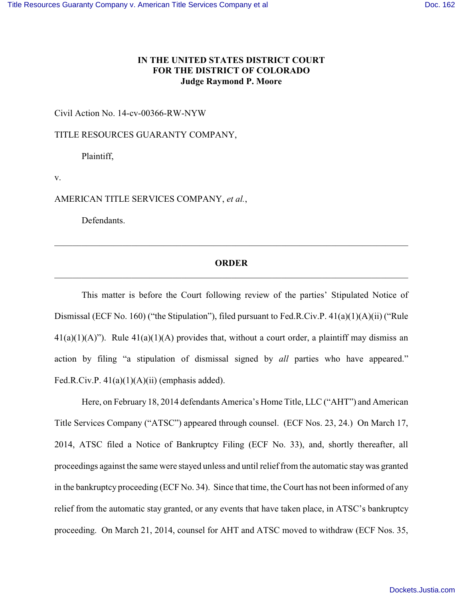## **IN THE UNITED STATES DISTRICT COURT FOR THE DISTRICT OF COLORADO Judge Raymond P. Moore**

Civil Action No. 14-cv-00366-RW-NYW

TITLE RESOURCES GUARANTY COMPANY,

Plaintiff,

v.

AMERICAN TITLE SERVICES COMPANY, *et al.*,

Defendants.

## **ORDER** \_\_\_\_\_\_\_\_\_\_\_\_\_\_\_\_\_\_\_\_\_\_\_\_\_\_\_\_\_\_\_\_\_\_\_\_\_\_\_\_\_\_\_\_\_\_\_\_\_\_\_\_\_\_\_\_\_\_\_\_\_\_\_\_\_\_\_\_\_\_\_\_\_\_\_\_\_\_

This matter is before the Court following review of the parties' Stipulated Notice of Dismissal (ECF No. 160) ("the Stipulation"), filed pursuant to Fed.R.Civ.P. 41(a)(1)(A)(ii) ("Rule  $41(a)(1)(A)$ "). Rule  $41(a)(1)(A)$  provides that, without a court order, a plaintiff may dismiss an action by filing "a stipulation of dismissal signed by *all* parties who have appeared." Fed.R.Civ.P.  $41(a)(1)(A)(ii)$  (emphasis added).

Here, on February 18, 2014 defendants America's Home Title, LLC ("AHT") and American Title Services Company ("ATSC") appeared through counsel. (ECF Nos. 23, 24.) On March 17, 2014, ATSC filed a Notice of Bankruptcy Filing (ECF No. 33), and, shortly thereafter, all proceedings against the same were stayed unless and until relief from the automatic stay was granted in the bankruptcy proceeding (ECF No. 34). Since that time, the Court has not been informed of any relief from the automatic stay granted, or any events that have taken place, in ATSC's bankruptcy proceeding. On March 21, 2014, counsel for AHT and ATSC moved to withdraw (ECF Nos. 35,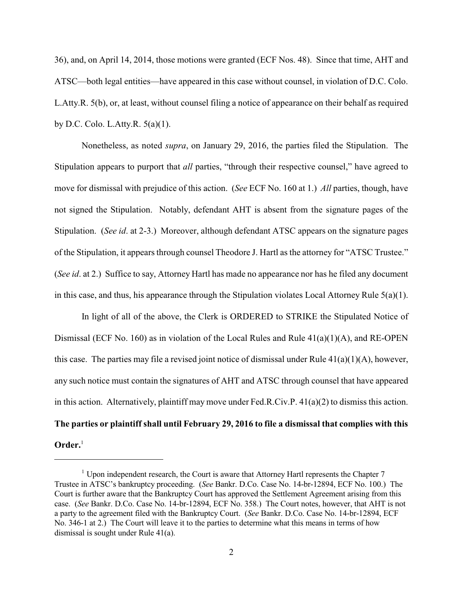36), and, on April 14, 2014, those motions were granted (ECF Nos. 48). Since that time, AHT and ATSC—both legal entities—have appeared in this case without counsel, in violation of D.C. Colo. L.Atty.R. 5(b), or, at least, without counsel filing a notice of appearance on their behalf as required by D.C. Colo. L.Atty.R. 5(a)(1).

Nonetheless, as noted *supra*, on January 29, 2016, the parties filed the Stipulation. The Stipulation appears to purport that *all* parties, "through their respective counsel," have agreed to move for dismissal with prejudice of this action. (*See* ECF No. 160 at 1.) *All* parties, though, have not signed the Stipulation. Notably, defendant AHT is absent from the signature pages of the Stipulation. (*See id*. at 2-3.) Moreover, although defendant ATSC appears on the signature pages of the Stipulation, it appears through counsel Theodore J. Hartl as the attorney for "ATSC Trustee." (*See id*. at 2.) Suffice to say, Attorney Hartl has made no appearance nor has he filed any document in this case, and thus, his appearance through the Stipulation violates Local Attorney Rule 5(a)(1).

In light of all of the above, the Clerk is ORDERED to STRIKE the Stipulated Notice of Dismissal (ECF No. 160) as in violation of the Local Rules and Rule  $41(a)(1)(A)$ , and RE-OPEN this case. The parties may file a revised joint notice of dismissal under Rule  $41(a)(1)(A)$ , however, any such notice must contain the signatures of AHT and ATSC through counsel that have appeared in this action. Alternatively, plaintiff may move under Fed.R.Civ.P. 41(a)(2) to dismiss this action. **The parties or plaintiff shall until February 29, 2016 to file a dismissal that complies with this Order.**<sup>1</sup>

 $1$  Upon independent research, the Court is aware that Attorney Hartl represents the Chapter 7 Trustee in ATSC's bankruptcy proceeding. (*See* Bankr. D.Co. Case No. 14-br-12894, ECF No. 100.) The Court is further aware that the Bankruptcy Court has approved the Settlement Agreement arising from this case. (*See* Bankr. D.Co. Case No. 14-br-12894, ECF No. 358.) The Court notes, however, that AHT is not a party to the agreement filed with the Bankruptcy Court. (*See* Bankr. D.Co. Case No. 14-br-12894, ECF No. 346-1 at 2.) The Court will leave it to the parties to determine what this means in terms of how dismissal is sought under Rule 41(a).